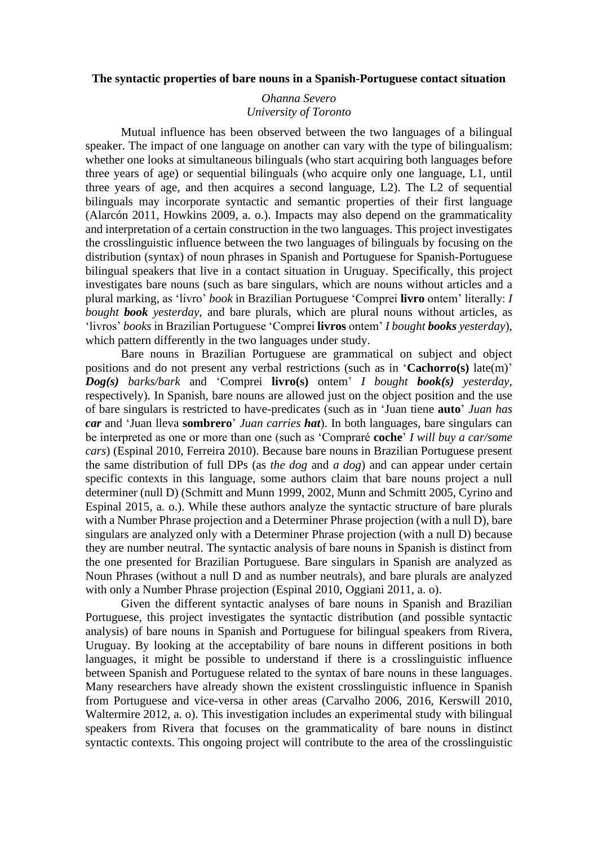## **The syntactic properties of bare nouns in a Spanish-Portuguese contact situation**

## *Ohanna Severo University of Toronto*

Mutual influence has been observed between the two languages of a bilingual speaker. The impact of one language on another can vary with the type of bilingualism: whether one looks at simultaneous bilinguals (who start acquiring both languages before three years of age) or sequential bilinguals (who acquire only one language, L1, until three years of age, and then acquires a second language, L2). The L2 of sequential bilinguals may incorporate syntactic and semantic properties of their first language (Alarcón 2011, Howkins 2009, a. o.). Impacts may also depend on the grammaticality and interpretation of a certain construction in the two languages. This project investigates the crosslinguistic influence between the two languages of bilinguals by focusing on the distribution (syntax) of noun phrases in Spanish and Portuguese for Spanish-Portuguese bilingual speakers that live in a contact situation in Uruguay. Specifically, this project investigates bare nouns (such as bare singulars, which are nouns without articles and a plural marking, as 'livro' *book* in Brazilian Portuguese 'Comprei **livro** ontem' literally: *I bought book yesterday*, and bare plurals, which are plural nouns without articles, as 'livros' *books* in Brazilian Portuguese 'Comprei **livros** ontem' *I bought books yesterday*), which pattern differently in the two languages under study.

Bare nouns in Brazilian Portuguese are grammatical on subject and object positions and do not present any verbal restrictions (such as in '**Cachorro(s)** late(m)' *Dog(s) barks/bark* and 'Comprei **livro(s)** ontem' *I bought book(s) yesterday*, respectively). In Spanish, bare nouns are allowed just on the object position and the use of bare singulars is restricted to have-predicates (such as in 'Juan tiene **auto**' *Juan has car* and 'Juan lleva **sombrero**' *Juan carries hat*). In both languages, bare singulars can be interpreted as one or more than one (such as 'Compraré **coche**' *I will buy a car/some cars*) (Espinal 2010, Ferreira 2010). Because bare nouns in Brazilian Portuguese present the same distribution of full DPs (as *the dog* and *a dog*) and can appear under certain specific contexts in this language, some authors claim that bare nouns project a null determiner (null D) (Schmitt and Munn 1999, 2002, Munn and Schmitt 2005, Cyrino and Espinal 2015, a. o.). While these authors analyze the syntactic structure of bare plurals with a Number Phrase projection and a Determiner Phrase projection (with a null D), bare singulars are analyzed only with a Determiner Phrase projection (with a null D) because they are number neutral. The syntactic analysis of bare nouns in Spanish is distinct from the one presented for Brazilian Portuguese. Bare singulars in Spanish are analyzed as Noun Phrases (without a null D and as number neutrals), and bare plurals are analyzed with only a Number Phrase projection (Espinal 2010, Oggiani 2011, a. o).

Given the different syntactic analyses of bare nouns in Spanish and Brazilian Portuguese, this project investigates the syntactic distribution (and possible syntactic analysis) of bare nouns in Spanish and Portuguese for bilingual speakers from Rivera, Uruguay. By looking at the acceptability of bare nouns in different positions in both languages, it might be possible to understand if there is a crosslinguistic influence between Spanish and Portuguese related to the syntax of bare nouns in these languages. Many researchers have already shown the existent crosslinguistic influence in Spanish from Portuguese and vice-versa in other areas (Carvalho 2006, 2016, Kerswill 2010, Waltermire 2012, a. o). This investigation includes an experimental study with bilingual speakers from Rivera that focuses on the grammaticality of bare nouns in distinct syntactic contexts. This ongoing project will contribute to the area of the crosslinguistic